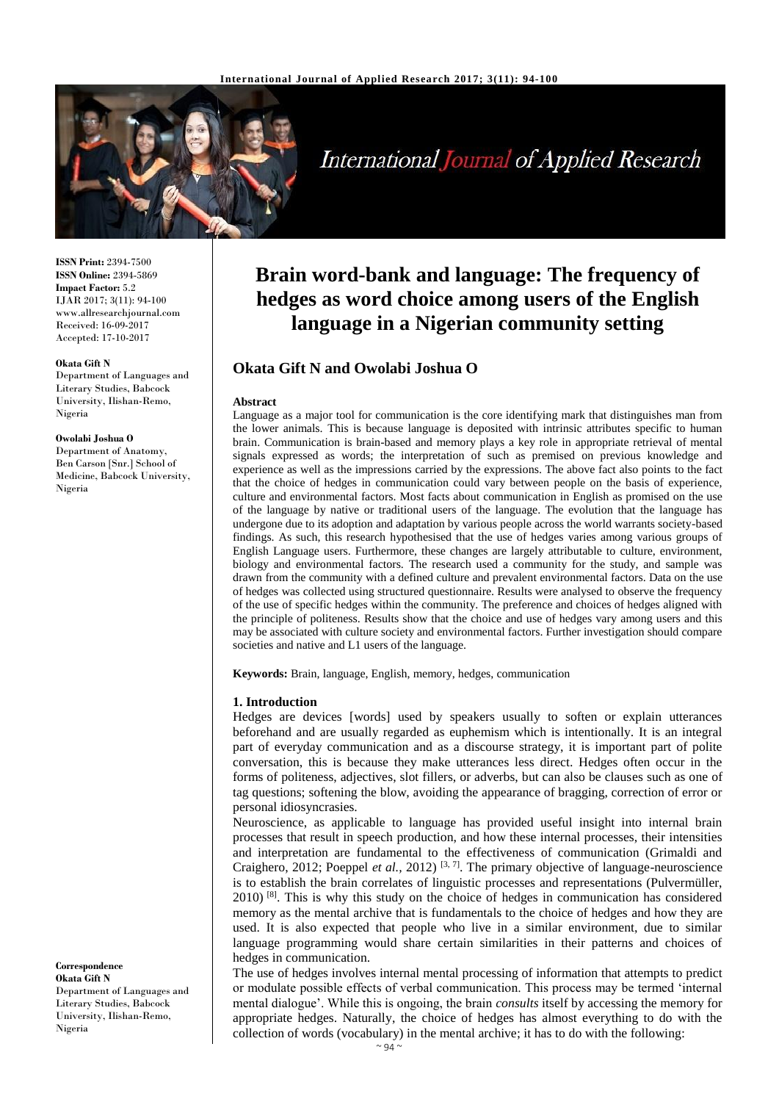

# International Journal of Applied Research

**ISSN Print:** 2394-7500 **ISSN Online:** 2394-5869 **Impact Factor:** 5.2 IJAR 2017; 3(11): 94-100 www.allresearchjournal.com Received: 16-09-2017 Accepted: 17-10-2017

#### **Okata Gift N**

Department of Languages and Literary Studies, Babcock University, Ilishan-Remo, Nigeria

#### **Owolabi Joshua O**

Department of Anatomy, Ben Carson [Snr.] School of Medicine, Babcock University, Nigeria

#### **Correspondence Okata Gift N** Department of Languages and Literary Studies, Babcock University, Ilishan-Remo, Nigeria

## **Brain word-bank and language: The frequency of hedges as word choice among users of the English language in a Nigerian community setting**

## **Okata Gift N and Owolabi Joshua O**

#### **Abstract**

Language as a major tool for communication is the core identifying mark that distinguishes man from the lower animals. This is because language is deposited with intrinsic attributes specific to human brain. Communication is brain-based and memory plays a key role in appropriate retrieval of mental signals expressed as words; the interpretation of such as premised on previous knowledge and experience as well as the impressions carried by the expressions. The above fact also points to the fact that the choice of hedges in communication could vary between people on the basis of experience, culture and environmental factors. Most facts about communication in English as promised on the use of the language by native or traditional users of the language. The evolution that the language has undergone due to its adoption and adaptation by various people across the world warrants society-based findings. As such, this research hypothesised that the use of hedges varies among various groups of English Language users. Furthermore, these changes are largely attributable to culture, environment, biology and environmental factors. The research used a community for the study, and sample was drawn from the community with a defined culture and prevalent environmental factors. Data on the use of hedges was collected using structured questionnaire. Results were analysed to observe the frequency of the use of specific hedges within the community. The preference and choices of hedges aligned with the principle of politeness. Results show that the choice and use of hedges vary among users and this may be associated with culture society and environmental factors. Further investigation should compare societies and native and L1 users of the language.

**Keywords:** Brain, language, English, memory, hedges, communication

#### **1. Introduction**

Hedges are devices [words] used by speakers usually to soften or explain utterances beforehand and are usually regarded as euphemism which is intentionally. It is an integral part of everyday communication and as a discourse strategy, it is important part of polite conversation, this is because they make utterances less direct. Hedges often occur in the forms of politeness, adjectives, slot fillers, or adverbs, but can also be clauses such as one of tag questions; softening the blow, avoiding the appearance of bragging, correction of error or personal idiosyncrasies.

Neuroscience, as applicable to language has provided useful insight into internal brain processes that result in speech production, and how these internal processes, their intensities and interpretation are fundamental to the effectiveness of communication (Grimaldi and Craighero, 2012; Poeppel *et al.*, 2012)<sup>[3, 7]</sup>. The primary objective of language-neuroscience is to establish the brain correlates of linguistic processes and representations (Pulvermüller, 2010)<sup>[8]</sup>. This is why this study on the choice of hedges in communication has considered memory as the mental archive that is fundamentals to the choice of hedges and how they are used. It is also expected that people who live in a similar environment, due to similar language programming would share certain similarities in their patterns and choices of hedges in communication.

The use of hedges involves internal mental processing of information that attempts to predict or modulate possible effects of verbal communication. This process may be termed 'internal mental dialogue'. While this is ongoing, the brain *consults* itself by accessing the memory for appropriate hedges. Naturally, the choice of hedges has almost everything to do with the collection of words (vocabulary) in the mental archive; it has to do with the following: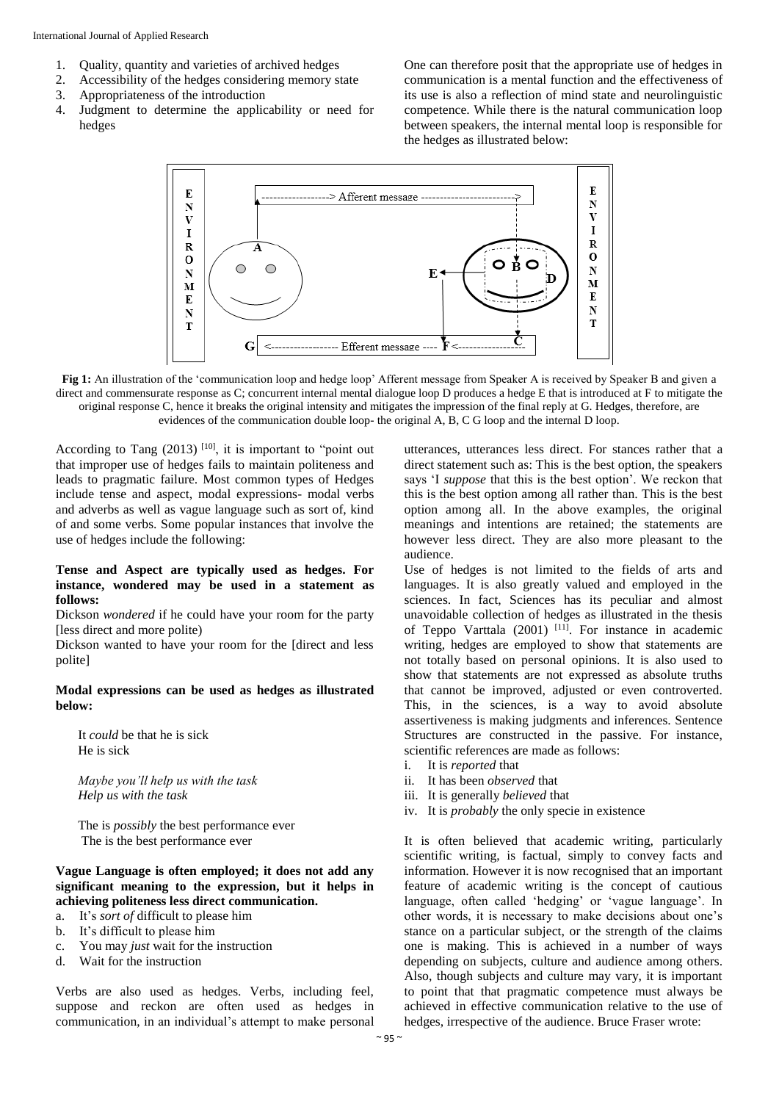- 1. Quality, quantity and varieties of archived hedges
- 2. Accessibility of the hedges considering memory state
- 3. Appropriateness of the introduction
- 4. Judgment to determine the applicability or need for hedges

One can therefore posit that the appropriate use of hedges in communication is a mental function and the effectiveness of its use is also a reflection of mind state and neurolinguistic competence. While there is the natural communication loop between speakers, the internal mental loop is responsible for the hedges as illustrated below:



**Fig 1:** An illustration of the 'communication loop and hedge loop' Afferent message from Speaker A is received by Speaker B and given a direct and commensurate response as C; concurrent internal mental dialogue loop D produces a hedge E that is introduced at F to mitigate the original response C, hence it breaks the original intensity and mitigates the impression of the final reply at G. Hedges, therefore, are evidences of the communication double loop- the original A, B, C G loop and the internal D loop.

According to Tang  $(2013)$  <sup>[10]</sup>, it is important to "point out that improper use of hedges fails to maintain politeness and leads to pragmatic failure. Most common types of Hedges include tense and aspect, modal expressions- modal verbs and adverbs as well as vague language such as sort of, kind of and some verbs. Some popular instances that involve the use of hedges include the following:

#### **Tense and Aspect are typically used as hedges. For instance, wondered may be used in a statement as follows:**

Dickson *wondered* if he could have your room for the party [less direct and more polite)

Dickson wanted to have your room for the [direct and less polite]

#### **Modal expressions can be used as hedges as illustrated below:**

It *could* be that he is sick He is sick

*Maybe you'll help us with the task Help us with the task*

The is *possibly* the best performance ever The is the best performance ever

### **Vague Language is often employed; it does not add any significant meaning to the expression, but it helps in achieving politeness less direct communication.**

- a. It's *sort of* difficult to please him
- b. It's difficult to please him
- c. You may *just* wait for the instruction
- d. Wait for the instruction

Verbs are also used as hedges. Verbs, including feel, suppose and reckon are often used as hedges in communication, in an individual's attempt to make personal

utterances, utterances less direct. For stances rather that a direct statement such as: This is the best option, the speakers says 'I *suppose* that this is the best option'. We reckon that this is the best option among all rather than. This is the best option among all. In the above examples, the original meanings and intentions are retained; the statements are however less direct. They are also more pleasant to the audience.

Use of hedges is not limited to the fields of arts and languages. It is also greatly valued and employed in the sciences. In fact, Sciences has its peculiar and almost unavoidable collection of hedges as illustrated in the thesis of Teppo Varttala (2001) <sup>[11]</sup>. For instance in academic writing, hedges are employed to show that statements are not totally based on personal opinions. It is also used to show that statements are not expressed as absolute truths that cannot be improved, adjusted or even controverted. This, in the sciences, is a way to avoid absolute assertiveness is making judgments and inferences. Sentence Structures are constructed in the passive. For instance, scientific references are made as follows:

- i. It is *reported* that
- ii. It has been *observed* that
- iii. It is generally *believed* that
- iv. It is *probably* the only specie in existence

It is often believed that academic writing, particularly scientific writing, is factual, simply to convey facts and information. However it is now recognised that an important feature of academic writing is the concept of cautious language, often called 'hedging' or 'vague language'. In other words, it is necessary to make decisions about one's stance on a particular subject, or the strength of the claims one is making. This is achieved in a number of ways depending on subjects, culture and audience among others. Also, though subjects and culture may vary, it is important to point that that pragmatic competence must always be achieved in effective communication relative to the use of hedges, irrespective of the audience. Bruce Fraser wrote: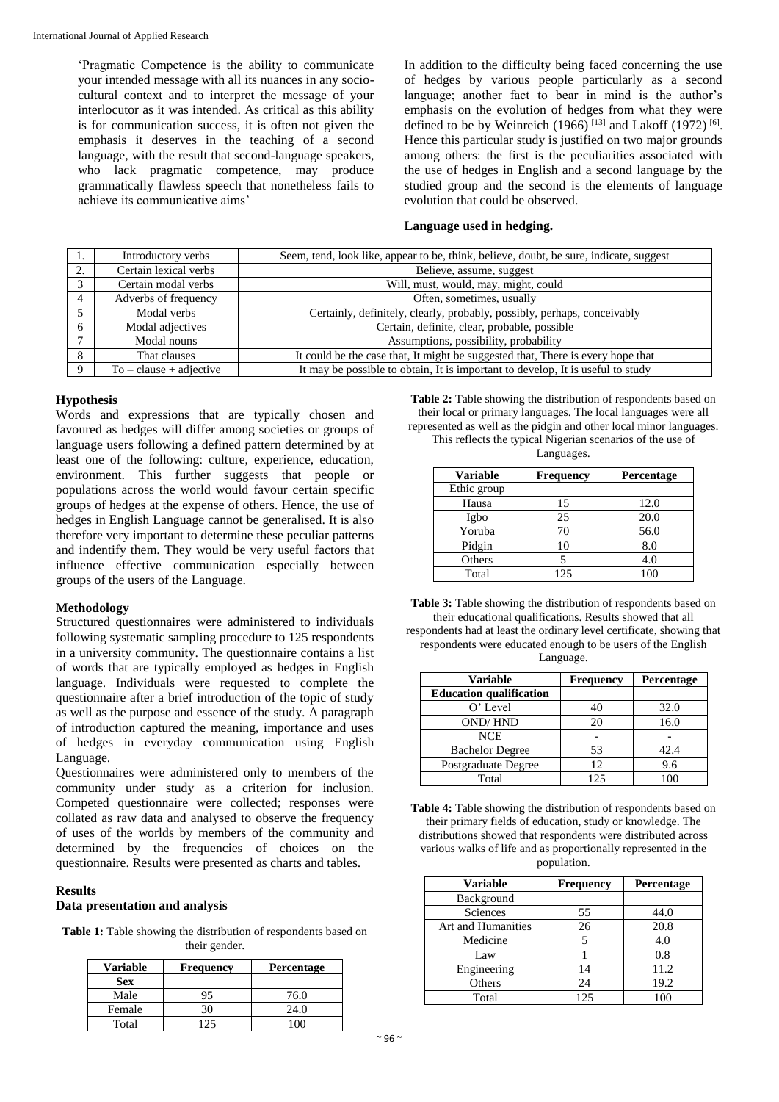'Pragmatic Competence is the ability to communicate your intended message with all its nuances in any sociocultural context and to interpret the message of your interlocutor as it was intended. As critical as this ability is for communication success, it is often not given the emphasis it deserves in the teaching of a second language, with the result that second-language speakers, who lack pragmatic competence, may produce grammatically flawless speech that nonetheless fails to achieve its communicative aims'

In addition to the difficulty being faced concerning the use of hedges by various people particularly as a second language; another fact to bear in mind is the author's emphasis on the evolution of hedges from what they were defined to be by Weinreich  $(1966)$ <sup>[13]</sup> and Lakoff  $(1972)$ <sup>[6]</sup>. Hence this particular study is justified on two major grounds among others: the first is the peculiarities associated with the use of hedges in English and a second language by the studied group and the second is the elements of language evolution that could be observed.

#### **Language used in hedging.**

|                                                                                         | Introductory verbs        | Seem, tend, look like, appear to be, think, believe, doubt, be sure, indicate, suggest |
|-----------------------------------------------------------------------------------------|---------------------------|----------------------------------------------------------------------------------------|
| 2.                                                                                      | Certain lexical verbs     | Believe, assume, suggest                                                               |
|                                                                                         | Certain modal verbs       | Will, must, would, may, might, could                                                   |
|                                                                                         | Adverbs of frequency      | Often, sometimes, usually                                                              |
| Certainly, definitely, clearly, probably, possibly, perhaps, conceivably<br>Modal verbs |                           |                                                                                        |
|                                                                                         | Modal adjectives          | Certain, definite, clear, probable, possible                                           |
|                                                                                         | Modal nouns               | Assumptions, possibility, probability                                                  |
|                                                                                         | That clauses              | It could be the case that, It might be suggested that, There is every hope that        |
|                                                                                         | $To - clause + adjective$ | It may be possible to obtain, It is important to develop, It is useful to study        |

#### **Hypothesis**

Words and expressions that are typically chosen and favoured as hedges will differ among societies or groups of language users following a defined pattern determined by at least one of the following: culture, experience, education, environment. This further suggests that people or populations across the world would favour certain specific groups of hedges at the expense of others. Hence, the use of hedges in English Language cannot be generalised. It is also therefore very important to determine these peculiar patterns and indentify them. They would be very useful factors that influence effective communication especially between groups of the users of the Language.

#### **Methodology**

Structured questionnaires were administered to individuals following systematic sampling procedure to 125 respondents in a university community. The questionnaire contains a list of words that are typically employed as hedges in English language. Individuals were requested to complete the questionnaire after a brief introduction of the topic of study as well as the purpose and essence of the study. A paragraph of introduction captured the meaning, importance and uses of hedges in everyday communication using English Language.

Questionnaires were administered only to members of the community under study as a criterion for inclusion. Competed questionnaire were collected; responses were collated as raw data and analysed to observe the frequency of uses of the worlds by members of the community and determined by the frequencies of choices on the questionnaire. Results were presented as charts and tables.

#### **Results**

#### **Data presentation and analysis**

**Table 1:** Table showing the distribution of respondents based on their gender.

| <b>Variable</b> | <b>Frequency</b> | <b>Percentage</b> |
|-----------------|------------------|-------------------|
| <b>Sex</b>      |                  |                   |
| Male            | 95               | 76.0              |
| Female          | 30               | 24.0              |
| Total           | 125              | 100               |

**Table 2:** Table showing the distribution of respondents based on their local or primary languages. The local languages were all represented as well as the pidgin and other local minor languages.

This reflects the typical Nigerian scenarios of the use of Languages.

| <b>Variable</b> | <b>Frequency</b> | Percentage |
|-----------------|------------------|------------|
| Ethic group     |                  |            |
| Hausa           | 15               | 12.0       |
| Igbo            | 25               | 20.0       |
| Yoruba          | 70               | 56.0       |
| Pidgin          | 10               | 8.0        |
| Others          |                  | 4.0        |
| Total           | 125              |            |

**Table 3:** Table showing the distribution of respondents based on their educational qualifications. Results showed that all respondents had at least the ordinary level certificate, showing that respondents were educated enough to be users of the English Language.

| <b>Variable</b>                | <b>Frequency</b> | Percentage |
|--------------------------------|------------------|------------|
| <b>Education qualification</b> |                  |            |
| $O'$ Level                     | 40               | 32.0       |
| <b>OND/HND</b>                 | 20               | 16.0       |
| <b>NCE</b>                     |                  |            |
| <b>Bachelor Degree</b>         | 53               | 42.4       |
| Postgraduate Degree            | 12.              | 9.6        |
| Total                          | 125              |            |

**Table 4:** Table showing the distribution of respondents based on their primary fields of education, study or knowledge. The distributions showed that respondents were distributed across various walks of life and as proportionally represented in the population.

| <b>Variable</b>    | <b>Frequency</b> | Percentage |
|--------------------|------------------|------------|
| Background         |                  |            |
| Sciences           | 55               | 44.0       |
| Art and Humanities | 26               | 20.8       |
| Medicine           |                  | 4.0        |
| Law                |                  | 0.8        |
| Engineering        | 14               | 11.2       |
| Others             | 24               | 19.2       |
| Total              | 125              | 100        |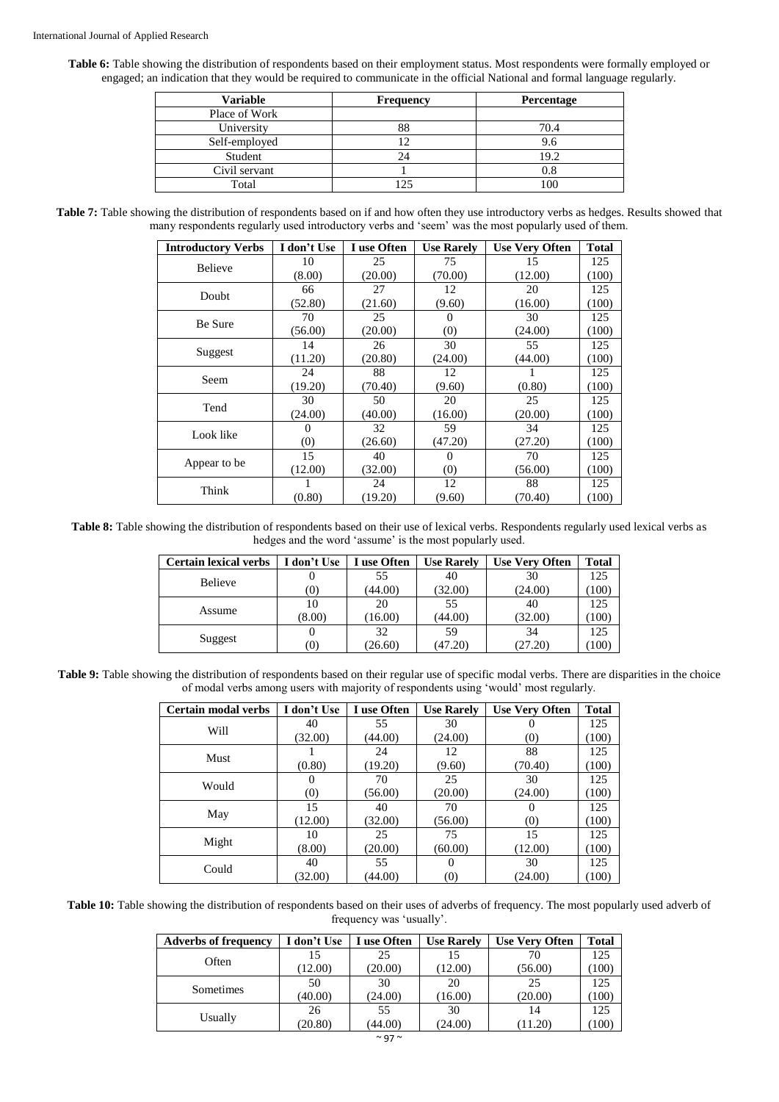**Table 6:** Table showing the distribution of respondents based on their employment status. Most respondents were formally employed or engaged; an indication that they would be required to communicate in the official National and formal language regularly.

| <b>Variable</b> | <b>Frequency</b> | Percentage |
|-----------------|------------------|------------|
| Place of Work   |                  |            |
| University      | 88               | 70.4       |
| Self-employed   |                  | 9.6        |
| Student         | 24               | 19.2       |
| Civil servant   |                  |            |
| Total           |                  |            |

**Table 7:** Table showing the distribution of respondents based on if and how often they use introductory verbs as hedges. Results showed that many respondents regularly used introductory verbs and 'seem' was the most popularly used of them.

| <b>Introductory Verbs</b> | I don't Use | I use Often | <b>Use Rarely</b> | <b>Use Very Often</b> | <b>Total</b> |
|---------------------------|-------------|-------------|-------------------|-----------------------|--------------|
| <b>Believe</b>            | 10          | 25          | 75                | 15                    | 125          |
|                           | (8.00)      | (20.00)     | (70.00)           | (12.00)               | (100)        |
| Doubt                     | 66          | 27          | 12                | 20                    | 125          |
|                           | (52.80)     | (21.60)     | (9.60)            | (16.00)               | (100)        |
| Be Sure                   | 70          | 25          | $\theta$          | 30                    | 125          |
|                           | (56.00)     | (20.00)     | (0)               | (24.00)               | (100)        |
|                           | 14          | 26          | 30                | 55                    | 125          |
| Suggest                   | (11.20)     | (20.80)     | (24.00)           | (44.00)               | (100)        |
| Seem                      | 24          | 88          | 12                |                       | 125          |
|                           | (19.20)     | (70.40)     | (9.60)            | (0.80)                | (100)        |
|                           | 30          | 50          | 20                | 25                    | 125          |
| Tend                      | (24.00)     | (40.00)     | (16.00)           | (20.00)               | (100)        |
| Look like                 | 0           | 32          | 59                | 34                    | 125          |
|                           | (0)         | (26.60)     | (47.20)           | (27.20)               | (100)        |
|                           | 15          | 40          |                   | 70                    | 125          |
| Appear to be              | (12.00)     | (32.00)     | (0)               | (56.00)               | (100)        |
| Think                     |             | 24          | 12                | 88                    | 125          |
|                           | (0.80)      | (19.20)     | (9.60)            | (70.40)               | (100)        |

**Table 8:** Table showing the distribution of respondents based on their use of lexical verbs. Respondents regularly used lexical verbs as hedges and the word 'assume' is the most popularly used.

| <b>Certain lexical verbs</b> | I don't Use | I use Often | <b>Use Rarely</b> | <b>Use Very Often</b> | <b>Total</b> |
|------------------------------|-------------|-------------|-------------------|-----------------------|--------------|
| Believe                      |             | 55          | 40                | 30                    | 125          |
|                              | (0)         | (44.00)     | (32.00)           | (24.00)               | (100)        |
|                              |             | 20          | 55                | 40                    | 125          |
| Assume                       | (8.00)      | 16.00       | (44.00)           | (32.00)               | (100)        |
|                              |             | 32          | 59                | 34                    | 125          |
| Suggest                      | (0)         | (26.60)     | (47.20)           | (27.20)               | 100          |

Table 9: Table showing the distribution of respondents based on their regular use of specific modal verbs. There are disparities in the choice of modal verbs among users with majority of respondents using 'would' most regularly.

| Certain modal verbs | I don't Use | I use Often | <b>Use Rarely</b> | <b>Use Very Often</b> | <b>Total</b> |
|---------------------|-------------|-------------|-------------------|-----------------------|--------------|
| Will                | 40          | 55          | 30                | 0                     | 125          |
|                     | (32.00)     | (44.00)     | (24.00)           | (0)                   | (100)        |
| Must                |             | 24          | 12                | 88                    | 125          |
|                     | (0.80)      | (19.20)     | (9.60)            | (70.40)               | (100)        |
| Would               |             | 70          | 25                | 30                    | 125          |
|                     | (0)         | (56.00)     | (20.00)           | (24.00)               | (100)        |
|                     | 15          | 40          | 70                | $\theta$              | 125          |
| May                 | (12.00)     | (32.00)     | (56.00)           | (0)                   | (100)        |
|                     | 10          | 25          | 75                | 15                    | 125          |
| Might               | (8.00)      | (20.00)     | (60.00)           | (12.00)               | (100)        |
| Could               | 40          | 55          | $\Omega$          | 30                    | 125          |
|                     | (32.00)     | (44.00)     | (0)               | (24.00)               | (100)        |

**Table 10:** Table showing the distribution of respondents based on their uses of adverbs of frequency. The most popularly used adverb of frequency was 'usually'.

| <b>Adverbs of frequency</b> | I don't Use | I use Often | <b>Use Rarely</b> | <b>Use Very Often</b> | <b>Total</b> |
|-----------------------------|-------------|-------------|-------------------|-----------------------|--------------|
| Often                       |             | 25          |                   | 70                    | 125          |
|                             | (12.00)     | (20.00)     | (12.00)           | (56.00)               | 100)         |
|                             | 50          | 30          | 20                | 25                    | 125          |
| Sometimes                   | (40.00)     | (24.00)     | (16.00)           | (20.00)               | 100)         |
|                             | 26          | 55          | 30                | 14                    | 125          |
| Usually                     | (20.80)     | (44.00)     | (24.00)           | (11.20)               | 100)         |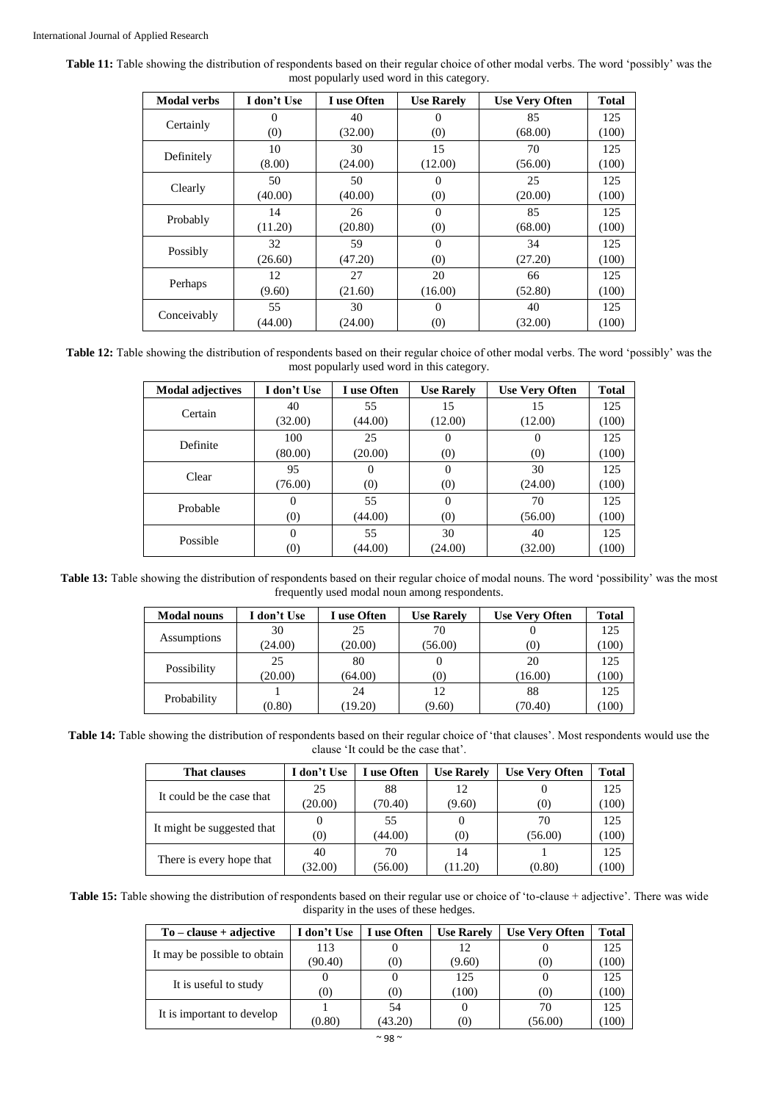| <b>Table 11:</b> Table showing the distribution of respondents based on their regular choice of other modal verbs. The word 'possibly' was the |  |
|------------------------------------------------------------------------------------------------------------------------------------------------|--|
| most popularly used word in this category.                                                                                                     |  |

| <b>Modal verbs</b> | I don't Use | I use Often | <b>Use Rarely</b> | <b>Use Very Often</b> | <b>Total</b> |
|--------------------|-------------|-------------|-------------------|-----------------------|--------------|
| Certainly          | $\Omega$    | 40          | $\theta$          | 85                    | 125          |
|                    | (0)         | (32.00)     | (0)               | (68.00)               | (100)        |
| Definitely         | 10          | 30          | 15                | 70                    | 125          |
|                    | (8.00)      | (24.00)     | (12.00)           | (56.00)               | (100)        |
| Clearly            | 50          | 50          | 0                 | 25                    | 125          |
|                    | (40.00)     | (40.00)     | (0)               | (20.00)               | (100)        |
| Probably           | 14          | 26          | $\Omega$          | 85                    | 125          |
|                    | (11.20)     | (20.80)     | (0)               | (68.00)               | (100)        |
| Possibly           | 32          | 59          | $\Omega$          | 34                    | 125          |
|                    | (26.60)     | (47.20)     | (0)               | (27.20)               | (100)        |
|                    | 12          | 27          | 20                | 66                    | 125          |
| Perhaps            | (9.60)      | (21.60)     | (16.00)           | (52.80)               | (100)        |
| Conceivably        | 55          | 30          | $\Omega$          | 40                    | 125          |
|                    | (44.00)     | (24.00)     | (0)               | (32.00)               | (100)        |

**Table 12:** Table showing the distribution of respondents based on their regular choice of other modal verbs. The word 'possibly' was the most popularly used word in this category.

| <b>Modal adjectives</b> | I don't Use | I use Often | <b>Use Rarely</b> | <b>Use Very Often</b> | <b>Total</b> |
|-------------------------|-------------|-------------|-------------------|-----------------------|--------------|
| Certain                 | 40          | 55          | 15                | 15                    | 125          |
|                         | (32.00)     | (44.00)     | (12.00)           | (12.00)               | (100)        |
| Definite                | 100         | 25          | 0                 | 0                     | 125          |
|                         | (80.00)     | (20.00)     | (0)               | (0)                   | (100)        |
| Clear                   | 95          | $\Omega$    | $\Omega$          | 30                    | 125          |
|                         | (76.00)     | (0)         | (0)               | (24.00)               | (100)        |
| Probable                | $\theta$    | 55          | $\Omega$          | 70                    | 125          |
|                         | (0)         | (44.00)     | (0)               | (56.00)               | (100)        |
| Possible                | $\Omega$    | 55          | 30                | 40                    | 125          |
|                         | (0)         | (44.00)     | (24.00)           | (32.00)               | (100)        |

Table 13: Table showing the distribution of respondents based on their regular choice of modal nouns. The word 'possibility' was the most frequently used modal noun among respondents.

| <b>Modal nouns</b> | I don't Use | I use Often | <b>Use Rarely</b> | <b>Use Very Often</b> | <b>Total</b> |
|--------------------|-------------|-------------|-------------------|-----------------------|--------------|
| Assumptions        | 30          | 25          | 70                |                       | 125          |
|                    | (24.00)     | (20.00)     | (56.00)           | (0)                   | (100)        |
| Possibility        | 25          | 80          |                   | 20                    | 125          |
|                    | (20.00)     | (64.00)     | (0)               | (16.00)               | (100)        |
| Probability        |             | 24          | 12                | 88                    | 125          |
|                    | (0.80)      | (19.20)     | (9.60)            | (70.40)               | (100)        |

**Table 14:** Table showing the distribution of respondents based on their regular choice of 'that clauses'. Most respondents would use the clause 'It could be the case that'.

| <b>That clauses</b>        | I don't Use | I use Often | <b>Use Rarely</b> | <b>Use Very Often</b> | <b>Total</b> |
|----------------------------|-------------|-------------|-------------------|-----------------------|--------------|
| It could be the case that  | 25          | 88          | 12                |                       | 125          |
|                            | (20.00)     | (70.40)     | (9.60)            | (0)                   | (100         |
| It might be suggested that |             | 55          | 0                 | 70                    | 125          |
|                            | (0)         | (44.00)     | (0)               | (56.00)               | (100)        |
| There is every hope that   | 40          | 70          | 14                |                       | 125          |
|                            | (32.00)     | (56.00)     | (11.20)           | (0.80)                | (100)        |

Table 15: Table showing the distribution of respondents based on their regular use or choice of 'to-clause + adjective'. There was wide disparity in the uses of these hedges.

| $To - clause + adjective$    | I don't Use | I use Often       | <b>Use Rarely</b> | <b>Use Very Often</b> | <b>Total</b> |
|------------------------------|-------------|-------------------|-------------------|-----------------------|--------------|
| It may be possible to obtain | 113         |                   |                   |                       | 125          |
|                              | (90.40)     | $\left( 0\right)$ | (9.60)            | O)                    | (100)        |
| It is useful to study        |             |                   | 125               |                       | 125          |
|                              | (0)         | (0)               | (100)             | (0)                   | (100)        |
| It is important to develop   |             | 54                |                   | 70                    | 125          |
|                              | (0.80)      | (43.20)           | (0)               | (56.00)               | (100         |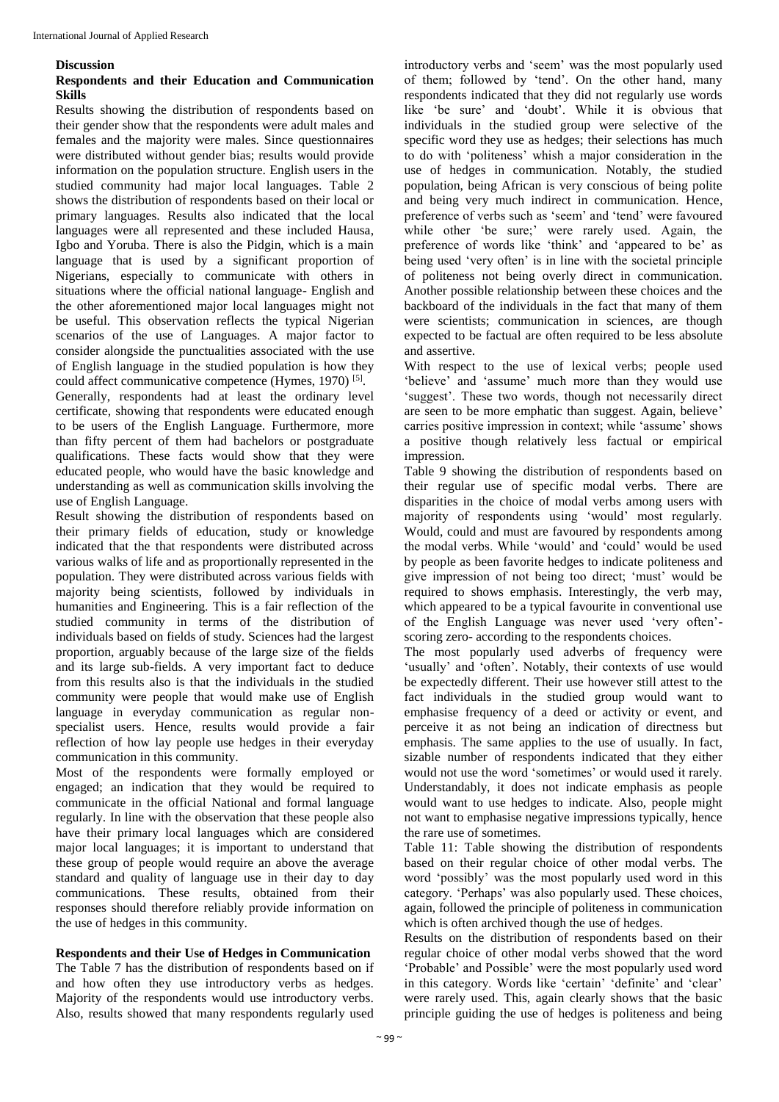#### **Discussion**

## **Respondents and their Education and Communication Skills**

Results showing the distribution of respondents based on their gender show that the respondents were adult males and females and the majority were males. Since questionnaires were distributed without gender bias; results would provide information on the population structure. English users in the studied community had major local languages. Table 2 shows the distribution of respondents based on their local or primary languages. Results also indicated that the local languages were all represented and these included Hausa, Igbo and Yoruba. There is also the Pidgin, which is a main language that is used by a significant proportion of Nigerians, especially to communicate with others in situations where the official national language- English and the other aforementioned major local languages might not be useful. This observation reflects the typical Nigerian scenarios of the use of Languages. A major factor to consider alongside the punctualities associated with the use of English language in the studied population is how they could affect communicative competence (Hymes, 1970)<sup>[5]</sup>. Generally, respondents had at least the ordinary level certificate, showing that respondents were educated enough to be users of the English Language. Furthermore, more than fifty percent of them had bachelors or postgraduate

qualifications. These facts would show that they were educated people, who would have the basic knowledge and understanding as well as communication skills involving the use of English Language.

Result showing the distribution of respondents based on their primary fields of education, study or knowledge indicated that the that respondents were distributed across various walks of life and as proportionally represented in the population. They were distributed across various fields with majority being scientists, followed by individuals in humanities and Engineering. This is a fair reflection of the studied community in terms of the distribution of individuals based on fields of study. Sciences had the largest proportion, arguably because of the large size of the fields and its large sub-fields. A very important fact to deduce from this results also is that the individuals in the studied community were people that would make use of English language in everyday communication as regular nonspecialist users. Hence, results would provide a fair reflection of how lay people use hedges in their everyday communication in this community.

Most of the respondents were formally employed or engaged; an indication that they would be required to communicate in the official National and formal language regularly. In line with the observation that these people also have their primary local languages which are considered major local languages; it is important to understand that these group of people would require an above the average standard and quality of language use in their day to day communications. These results, obtained from their responses should therefore reliably provide information on the use of hedges in this community.

## **Respondents and their Use of Hedges in Communication**

The Table 7 has the distribution of respondents based on if and how often they use introductory verbs as hedges. Majority of the respondents would use introductory verbs. Also, results showed that many respondents regularly used

introductory verbs and 'seem' was the most popularly used of them; followed by 'tend'. On the other hand, many respondents indicated that they did not regularly use words like 'be sure' and 'doubt'. While it is obvious that individuals in the studied group were selective of the specific word they use as hedges; their selections has much to do with 'politeness' whish a major consideration in the use of hedges in communication. Notably, the studied population, being African is very conscious of being polite and being very much indirect in communication. Hence, preference of verbs such as 'seem' and 'tend' were favoured while other 'be sure;' were rarely used. Again, the preference of words like 'think' and 'appeared to be' as being used 'very often' is in line with the societal principle of politeness not being overly direct in communication. Another possible relationship between these choices and the backboard of the individuals in the fact that many of them were scientists; communication in sciences, are though expected to be factual are often required to be less absolute and assertive.

With respect to the use of lexical verbs; people used 'believe' and 'assume' much more than they would use 'suggest'. These two words, though not necessarily direct are seen to be more emphatic than suggest. Again, believe' carries positive impression in context; while 'assume' shows a positive though relatively less factual or empirical impression.

Table 9 showing the distribution of respondents based on their regular use of specific modal verbs. There are disparities in the choice of modal verbs among users with majority of respondents using 'would' most regularly. Would, could and must are favoured by respondents among the modal verbs. While 'would' and 'could' would be used by people as been favorite hedges to indicate politeness and give impression of not being too direct; 'must' would be required to shows emphasis. Interestingly, the verb may, which appeared to be a typical favourite in conventional use of the English Language was never used 'very often' scoring zero- according to the respondents choices.

The most popularly used adverbs of frequency were 'usually' and 'often'. Notably, their contexts of use would be expectedly different. Their use however still attest to the fact individuals in the studied group would want to emphasise frequency of a deed or activity or event, and perceive it as not being an indication of directness but emphasis. The same applies to the use of usually. In fact, sizable number of respondents indicated that they either would not use the word 'sometimes' or would used it rarely. Understandably, it does not indicate emphasis as people would want to use hedges to indicate. Also, people might not want to emphasise negative impressions typically, hence the rare use of sometimes.

Table 11: Table showing the distribution of respondents based on their regular choice of other modal verbs. The word 'possibly' was the most popularly used word in this category. 'Perhaps' was also popularly used. These choices, again, followed the principle of politeness in communication which is often archived though the use of hedges.

Results on the distribution of respondents based on their regular choice of other modal verbs showed that the word 'Probable' and Possible' were the most popularly used word in this category. Words like 'certain' 'definite' and 'clear' were rarely used. This, again clearly shows that the basic principle guiding the use of hedges is politeness and being